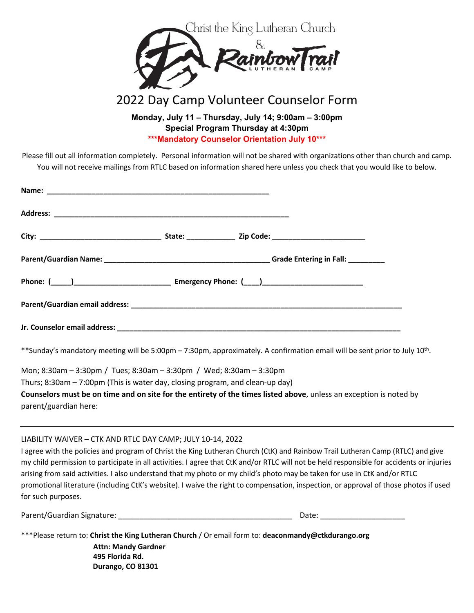

## 2022 Day Camp Volunteer Counselor Form

**Monday, July 11 – Thursday, July 14; 9:00am – 3:00pm Special Program Thursday at 4:30pm \*\*\*Mandatory Counselor Orientation July 10\*\*\***

Please fill out all information completely. Personal information will not be shared with organizations other than church and camp. You will not receive mailings from RTLC based on information shared here unless you check that you would like to below.

| ** Sunday's mandatory meeting will be 5:00pm - 7:30pm, approximately. A confirmation email will be sent prior to July 10 <sup>th</sup> . |  |  |  |  |  |
|------------------------------------------------------------------------------------------------------------------------------------------|--|--|--|--|--|
| Mon; 8:30am - 3:30pm / Tues; 8:30am - 3:30pm / Wed; 8:30am - 3:30pm                                                                      |  |  |  |  |  |

Thurs; 8:30am – 7:00pm (This is water day, closing program, and clean-up day)

**Counselors must be on time and on site for the entirety of the times listed above**, unless an exception is noted by parent/guardian here:

LIABILITY WAIVER – CTK AND RTLC DAY CAMP; JULY 10-14, 2022

I agree with the policies and program of Christ the King Lutheran Church (CtK) and Rainbow Trail Lutheran Camp (RTLC) and give my child permission to participate in all activities. I agree that CtK and/or RTLC will not be held responsible for accidents or injuries arising from said activities. I also understand that my photo or my child's photo may be taken for use in CtK and/or RTLC promotional literature (including CtK's website). I waive the right to compensation, inspection, or approval of those photos if used for such purposes.

Parent/Guardian Signature: \_\_\_\_\_\_\_\_\_\_\_\_\_\_\_\_\_\_\_\_\_\_\_\_\_\_\_\_\_\_\_\_\_\_\_\_\_\_\_\_\_ Date: \_\_\_\_\_\_\_\_\_\_\_\_\_\_\_\_\_\_\_\_

| ***Please return to: Christ the King Lutheran Church / Or email form to: deaconmandy@ctkdurango.org |  |
|-----------------------------------------------------------------------------------------------------|--|
| <b>Attn: Mandy Gardner</b>                                                                          |  |
| 495 Florida Rd.                                                                                     |  |
| Durango, CO 81301                                                                                   |  |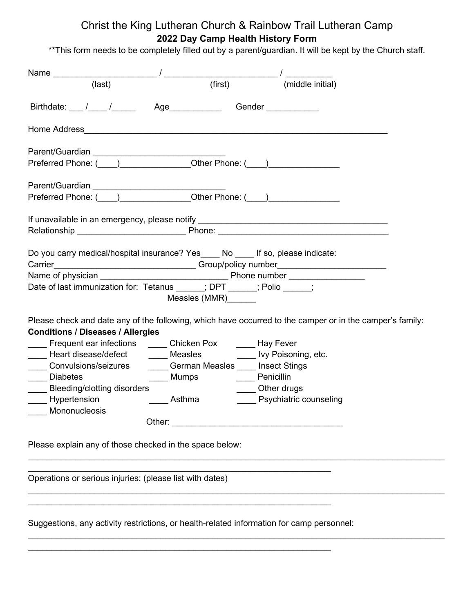## Christ the King Lutheran Church & Rainbow Trail Lutheran Camp **2022 Day Camp Health History Form**

\*\*This form needs to be completely filled out by a parent/guardian. It will be kept by the Church staff.

| (first)<br>(last)                                                                                                                                                                                                                                                                                                                                                                                                              | (middle initial)                                                                                                                                                                                                               |  |  |  |  |  |
|--------------------------------------------------------------------------------------------------------------------------------------------------------------------------------------------------------------------------------------------------------------------------------------------------------------------------------------------------------------------------------------------------------------------------------|--------------------------------------------------------------------------------------------------------------------------------------------------------------------------------------------------------------------------------|--|--|--|--|--|
| Birthdate: / / / Age Gender Context                                                                                                                                                                                                                                                                                                                                                                                            |                                                                                                                                                                                                                                |  |  |  |  |  |
| Home Address <b>Contract Contract Contract Contract Contract Contract Contract Contract Contract Contract Contract Contract Contract Contract Contract Contract Contract Contract Contract Contract Contract Contract Contract C</b>                                                                                                                                                                                           |                                                                                                                                                                                                                                |  |  |  |  |  |
|                                                                                                                                                                                                                                                                                                                                                                                                                                |                                                                                                                                                                                                                                |  |  |  |  |  |
|                                                                                                                                                                                                                                                                                                                                                                                                                                |                                                                                                                                                                                                                                |  |  |  |  |  |
| Preferred Phone: ( ) Cher Phone: ( )                                                                                                                                                                                                                                                                                                                                                                                           |                                                                                                                                                                                                                                |  |  |  |  |  |
| If unavailable in an emergency, please notify __________________________________                                                                                                                                                                                                                                                                                                                                               |                                                                                                                                                                                                                                |  |  |  |  |  |
| Relationship example and the Phone: Phone: Phone: Phone: Phone: Phone: Phone: Phone: Phone: Phone: Phone: Phone: Phone: Phone: Phone: Phone: Phone: Phone: Phone: Phone: Phone: Phone: Phone: Phone: Phone: Phone: Phone: Phon                                                                                                                                                                                                 |                                                                                                                                                                                                                                |  |  |  |  |  |
| Do you carry medical/hospital insurance? Yes____ No ____ If so, please indicate:                                                                                                                                                                                                                                                                                                                                               |                                                                                                                                                                                                                                |  |  |  |  |  |
| Carrier_________________________________Group/policy number_____________________                                                                                                                                                                                                                                                                                                                                               |                                                                                                                                                                                                                                |  |  |  |  |  |
| Date of last immunization for: Tetanus _____; DPT _____; Polio _____;                                                                                                                                                                                                                                                                                                                                                          |                                                                                                                                                                                                                                |  |  |  |  |  |
| Measles (MMR) ______                                                                                                                                                                                                                                                                                                                                                                                                           |                                                                                                                                                                                                                                |  |  |  |  |  |
| Please check and date any of the following, which have occurred to the camper or in the camper's family:<br><b>Conditions / Diseases / Allergies</b><br>Frequent ear infections _______ Chicken Pox _______ Hay Fever<br>Heart disease/defect _______ Measles __________ lvy Poisoning, etc.<br><b>Convulsions/seizures</b><br><b>Example 19 Mumps Additional Penicillin</b><br>Diabetes<br><b>Bleeding/clotting disorders</b> | German Measles Insect Stings<br>____ Other drugs                                                                                                                                                                               |  |  |  |  |  |
| Hypertension<br><u>____</u> __Asthma                                                                                                                                                                                                                                                                                                                                                                                           | <b>Example 1 Psychiatric counseling</b>                                                                                                                                                                                        |  |  |  |  |  |
| Mononucleosis                                                                                                                                                                                                                                                                                                                                                                                                                  | Other: when the contract of the contract of the contract of the contract of the contract of the contract of the contract of the contract of the contract of the contract of the contract of the contract of the contract of th |  |  |  |  |  |
| Please explain any of those checked in the space below:                                                                                                                                                                                                                                                                                                                                                                        |                                                                                                                                                                                                                                |  |  |  |  |  |
| Operations or serious injuries: (please list with dates)                                                                                                                                                                                                                                                                                                                                                                       |                                                                                                                                                                                                                                |  |  |  |  |  |
|                                                                                                                                                                                                                                                                                                                                                                                                                                |                                                                                                                                                                                                                                |  |  |  |  |  |
| Suggestions, any activity restrictions, or health-related information for camp personnel:                                                                                                                                                                                                                                                                                                                                      |                                                                                                                                                                                                                                |  |  |  |  |  |

 $\_$